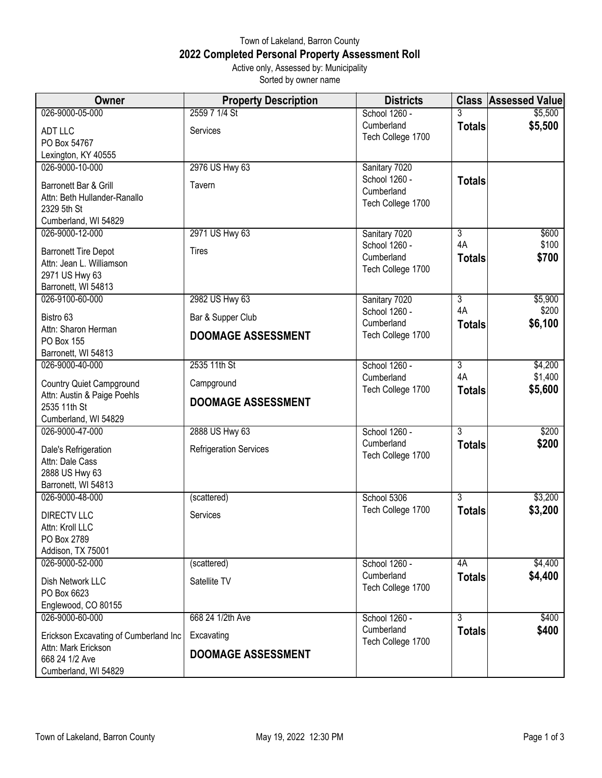## Town of Lakeland, Barron County **2022 Completed Personal Property Assessment Roll** Active only, Assessed by: Municipality

Sorted by owner name

| 026-9000-05-000<br>School 1260 -<br>3<br>Cumberland<br>\$5,500<br><b>Totals</b><br>ADT LLC<br>Services<br>Tech College 1700<br>PO Box 54767<br>Lexington, KY 40555<br>2976 US Hwy 63<br>026-9000-10-000<br>Sanitary 7020<br>School 1260 -<br><b>Totals</b><br>Barronett Bar & Grill<br>Tavern<br>Cumberland<br>Attn: Beth Hullander-Ranallo<br>Tech College 1700<br>2329 5th St<br>Cumberland, WI 54829<br>026-9000-12-000<br>2971 US Hwy 63<br>3<br>Sanitary 7020<br>4A<br>School 1260 -<br><b>Tires</b><br><b>Barronett Tire Depot</b><br>Cumberland<br><b>Totals</b><br>Attn: Jean L. Williamson<br>Tech College 1700<br>2971 US Hwy 63<br>Barronett, WI 54813<br>2982 US Hwy 63<br>026-9100-60-000<br>Sanitary 7020<br>$\overline{3}$<br>4A<br>School 1260 -<br>Bistro 63<br>Bar & Supper Club<br>Cumberland<br><b>Totals</b><br>Attn: Sharon Herman<br>Tech College 1700<br><b>DOOMAGE ASSESSMENT</b><br>PO Box 155<br>Barronett, WI 54813<br>026-9000-40-000<br>2535 11th St<br>School 1260 -<br>$\overline{3}$<br>4A<br>Cumberland<br>Campground<br><b>Country Quiet Campground</b><br>Tech College 1700<br><b>Totals</b><br>Attn: Austin & Paige Poehls<br><b>DOOMAGE ASSESSMENT</b><br>2535 11th St<br>Cumberland, WI 54829<br>2888 US Hwy 63<br>School 1260 -<br>3<br>026-9000-47-000<br>Cumberland<br><b>Totals</b><br>Dale's Refrigeration<br><b>Refrigeration Services</b><br>Tech College 1700<br>Attn: Dale Cass<br>2888 US Hwy 63<br>Barronett, WI 54813<br>026-9000-48-000<br>$\overline{3}$<br>School 5306<br>(scattered)<br>Tech College 1700<br><b>Totals</b><br><b>DIRECTV LLC</b><br>Services<br>Attn: Kroll LLC<br>PO Box 2789 | Owner             | <b>Property Description</b> | <b>Districts</b> | <b>Class Assessed Value</b> |
|-------------------------------------------------------------------------------------------------------------------------------------------------------------------------------------------------------------------------------------------------------------------------------------------------------------------------------------------------------------------------------------------------------------------------------------------------------------------------------------------------------------------------------------------------------------------------------------------------------------------------------------------------------------------------------------------------------------------------------------------------------------------------------------------------------------------------------------------------------------------------------------------------------------------------------------------------------------------------------------------------------------------------------------------------------------------------------------------------------------------------------------------------------------------------------------------------------------------------------------------------------------------------------------------------------------------------------------------------------------------------------------------------------------------------------------------------------------------------------------------------------------------------------------------------------------------------------------------------------------------------------------------------------|-------------------|-----------------------------|------------------|-----------------------------|
|                                                                                                                                                                                                                                                                                                                                                                                                                                                                                                                                                                                                                                                                                                                                                                                                                                                                                                                                                                                                                                                                                                                                                                                                                                                                                                                                                                                                                                                                                                                                                                                                                                                       |                   | 2559 7 1/4 St               |                  | \$5,500                     |
|                                                                                                                                                                                                                                                                                                                                                                                                                                                                                                                                                                                                                                                                                                                                                                                                                                                                                                                                                                                                                                                                                                                                                                                                                                                                                                                                                                                                                                                                                                                                                                                                                                                       |                   |                             |                  |                             |
|                                                                                                                                                                                                                                                                                                                                                                                                                                                                                                                                                                                                                                                                                                                                                                                                                                                                                                                                                                                                                                                                                                                                                                                                                                                                                                                                                                                                                                                                                                                                                                                                                                                       |                   |                             |                  |                             |
|                                                                                                                                                                                                                                                                                                                                                                                                                                                                                                                                                                                                                                                                                                                                                                                                                                                                                                                                                                                                                                                                                                                                                                                                                                                                                                                                                                                                                                                                                                                                                                                                                                                       |                   |                             |                  |                             |
|                                                                                                                                                                                                                                                                                                                                                                                                                                                                                                                                                                                                                                                                                                                                                                                                                                                                                                                                                                                                                                                                                                                                                                                                                                                                                                                                                                                                                                                                                                                                                                                                                                                       |                   |                             |                  |                             |
|                                                                                                                                                                                                                                                                                                                                                                                                                                                                                                                                                                                                                                                                                                                                                                                                                                                                                                                                                                                                                                                                                                                                                                                                                                                                                                                                                                                                                                                                                                                                                                                                                                                       |                   |                             |                  |                             |
|                                                                                                                                                                                                                                                                                                                                                                                                                                                                                                                                                                                                                                                                                                                                                                                                                                                                                                                                                                                                                                                                                                                                                                                                                                                                                                                                                                                                                                                                                                                                                                                                                                                       |                   |                             |                  |                             |
|                                                                                                                                                                                                                                                                                                                                                                                                                                                                                                                                                                                                                                                                                                                                                                                                                                                                                                                                                                                                                                                                                                                                                                                                                                                                                                                                                                                                                                                                                                                                                                                                                                                       |                   |                             |                  |                             |
|                                                                                                                                                                                                                                                                                                                                                                                                                                                                                                                                                                                                                                                                                                                                                                                                                                                                                                                                                                                                                                                                                                                                                                                                                                                                                                                                                                                                                                                                                                                                                                                                                                                       |                   |                             |                  |                             |
|                                                                                                                                                                                                                                                                                                                                                                                                                                                                                                                                                                                                                                                                                                                                                                                                                                                                                                                                                                                                                                                                                                                                                                                                                                                                                                                                                                                                                                                                                                                                                                                                                                                       |                   |                             |                  | \$600                       |
|                                                                                                                                                                                                                                                                                                                                                                                                                                                                                                                                                                                                                                                                                                                                                                                                                                                                                                                                                                                                                                                                                                                                                                                                                                                                                                                                                                                                                                                                                                                                                                                                                                                       |                   |                             |                  | \$100                       |
|                                                                                                                                                                                                                                                                                                                                                                                                                                                                                                                                                                                                                                                                                                                                                                                                                                                                                                                                                                                                                                                                                                                                                                                                                                                                                                                                                                                                                                                                                                                                                                                                                                                       |                   |                             |                  | \$700                       |
|                                                                                                                                                                                                                                                                                                                                                                                                                                                                                                                                                                                                                                                                                                                                                                                                                                                                                                                                                                                                                                                                                                                                                                                                                                                                                                                                                                                                                                                                                                                                                                                                                                                       |                   |                             |                  |                             |
|                                                                                                                                                                                                                                                                                                                                                                                                                                                                                                                                                                                                                                                                                                                                                                                                                                                                                                                                                                                                                                                                                                                                                                                                                                                                                                                                                                                                                                                                                                                                                                                                                                                       |                   |                             |                  |                             |
|                                                                                                                                                                                                                                                                                                                                                                                                                                                                                                                                                                                                                                                                                                                                                                                                                                                                                                                                                                                                                                                                                                                                                                                                                                                                                                                                                                                                                                                                                                                                                                                                                                                       |                   |                             |                  | \$5,900                     |
|                                                                                                                                                                                                                                                                                                                                                                                                                                                                                                                                                                                                                                                                                                                                                                                                                                                                                                                                                                                                                                                                                                                                                                                                                                                                                                                                                                                                                                                                                                                                                                                                                                                       |                   |                             |                  | \$200                       |
|                                                                                                                                                                                                                                                                                                                                                                                                                                                                                                                                                                                                                                                                                                                                                                                                                                                                                                                                                                                                                                                                                                                                                                                                                                                                                                                                                                                                                                                                                                                                                                                                                                                       |                   |                             |                  | \$6,100                     |
|                                                                                                                                                                                                                                                                                                                                                                                                                                                                                                                                                                                                                                                                                                                                                                                                                                                                                                                                                                                                                                                                                                                                                                                                                                                                                                                                                                                                                                                                                                                                                                                                                                                       |                   |                             |                  |                             |
|                                                                                                                                                                                                                                                                                                                                                                                                                                                                                                                                                                                                                                                                                                                                                                                                                                                                                                                                                                                                                                                                                                                                                                                                                                                                                                                                                                                                                                                                                                                                                                                                                                                       |                   |                             |                  |                             |
|                                                                                                                                                                                                                                                                                                                                                                                                                                                                                                                                                                                                                                                                                                                                                                                                                                                                                                                                                                                                                                                                                                                                                                                                                                                                                                                                                                                                                                                                                                                                                                                                                                                       |                   |                             |                  | \$4,200                     |
|                                                                                                                                                                                                                                                                                                                                                                                                                                                                                                                                                                                                                                                                                                                                                                                                                                                                                                                                                                                                                                                                                                                                                                                                                                                                                                                                                                                                                                                                                                                                                                                                                                                       |                   |                             |                  | \$1,400                     |
|                                                                                                                                                                                                                                                                                                                                                                                                                                                                                                                                                                                                                                                                                                                                                                                                                                                                                                                                                                                                                                                                                                                                                                                                                                                                                                                                                                                                                                                                                                                                                                                                                                                       |                   |                             |                  | \$5,600                     |
|                                                                                                                                                                                                                                                                                                                                                                                                                                                                                                                                                                                                                                                                                                                                                                                                                                                                                                                                                                                                                                                                                                                                                                                                                                                                                                                                                                                                                                                                                                                                                                                                                                                       |                   |                             |                  |                             |
|                                                                                                                                                                                                                                                                                                                                                                                                                                                                                                                                                                                                                                                                                                                                                                                                                                                                                                                                                                                                                                                                                                                                                                                                                                                                                                                                                                                                                                                                                                                                                                                                                                                       |                   |                             |                  |                             |
|                                                                                                                                                                                                                                                                                                                                                                                                                                                                                                                                                                                                                                                                                                                                                                                                                                                                                                                                                                                                                                                                                                                                                                                                                                                                                                                                                                                                                                                                                                                                                                                                                                                       |                   |                             |                  | \$200                       |
|                                                                                                                                                                                                                                                                                                                                                                                                                                                                                                                                                                                                                                                                                                                                                                                                                                                                                                                                                                                                                                                                                                                                                                                                                                                                                                                                                                                                                                                                                                                                                                                                                                                       |                   |                             |                  | \$200                       |
|                                                                                                                                                                                                                                                                                                                                                                                                                                                                                                                                                                                                                                                                                                                                                                                                                                                                                                                                                                                                                                                                                                                                                                                                                                                                                                                                                                                                                                                                                                                                                                                                                                                       |                   |                             |                  |                             |
|                                                                                                                                                                                                                                                                                                                                                                                                                                                                                                                                                                                                                                                                                                                                                                                                                                                                                                                                                                                                                                                                                                                                                                                                                                                                                                                                                                                                                                                                                                                                                                                                                                                       |                   |                             |                  |                             |
|                                                                                                                                                                                                                                                                                                                                                                                                                                                                                                                                                                                                                                                                                                                                                                                                                                                                                                                                                                                                                                                                                                                                                                                                                                                                                                                                                                                                                                                                                                                                                                                                                                                       |                   |                             |                  |                             |
|                                                                                                                                                                                                                                                                                                                                                                                                                                                                                                                                                                                                                                                                                                                                                                                                                                                                                                                                                                                                                                                                                                                                                                                                                                                                                                                                                                                                                                                                                                                                                                                                                                                       |                   |                             |                  | \$3,200                     |
|                                                                                                                                                                                                                                                                                                                                                                                                                                                                                                                                                                                                                                                                                                                                                                                                                                                                                                                                                                                                                                                                                                                                                                                                                                                                                                                                                                                                                                                                                                                                                                                                                                                       |                   |                             |                  | \$3,200                     |
|                                                                                                                                                                                                                                                                                                                                                                                                                                                                                                                                                                                                                                                                                                                                                                                                                                                                                                                                                                                                                                                                                                                                                                                                                                                                                                                                                                                                                                                                                                                                                                                                                                                       |                   |                             |                  |                             |
|                                                                                                                                                                                                                                                                                                                                                                                                                                                                                                                                                                                                                                                                                                                                                                                                                                                                                                                                                                                                                                                                                                                                                                                                                                                                                                                                                                                                                                                                                                                                                                                                                                                       |                   |                             |                  |                             |
|                                                                                                                                                                                                                                                                                                                                                                                                                                                                                                                                                                                                                                                                                                                                                                                                                                                                                                                                                                                                                                                                                                                                                                                                                                                                                                                                                                                                                                                                                                                                                                                                                                                       | Addison, TX 75001 |                             |                  |                             |
| 026-9000-52-000<br>School 1260 -<br>4A<br>(scattered)                                                                                                                                                                                                                                                                                                                                                                                                                                                                                                                                                                                                                                                                                                                                                                                                                                                                                                                                                                                                                                                                                                                                                                                                                                                                                                                                                                                                                                                                                                                                                                                                 |                   |                             |                  | \$4,400                     |
| Cumberland<br><b>Totals</b><br>Satellite TV<br>Dish Network LLC                                                                                                                                                                                                                                                                                                                                                                                                                                                                                                                                                                                                                                                                                                                                                                                                                                                                                                                                                                                                                                                                                                                                                                                                                                                                                                                                                                                                                                                                                                                                                                                       |                   |                             |                  | \$4,400                     |
| Tech College 1700<br>PO Box 6623                                                                                                                                                                                                                                                                                                                                                                                                                                                                                                                                                                                                                                                                                                                                                                                                                                                                                                                                                                                                                                                                                                                                                                                                                                                                                                                                                                                                                                                                                                                                                                                                                      |                   |                             |                  |                             |
| Englewood, CO 80155                                                                                                                                                                                                                                                                                                                                                                                                                                                                                                                                                                                                                                                                                                                                                                                                                                                                                                                                                                                                                                                                                                                                                                                                                                                                                                                                                                                                                                                                                                                                                                                                                                   |                   |                             |                  |                             |
| 026-9000-60-000<br>668 24 1/2th Ave<br>School 1260 -<br>$\overline{3}$                                                                                                                                                                                                                                                                                                                                                                                                                                                                                                                                                                                                                                                                                                                                                                                                                                                                                                                                                                                                                                                                                                                                                                                                                                                                                                                                                                                                                                                                                                                                                                                |                   |                             |                  | \$400                       |
| Cumberland<br><b>Totals</b>                                                                                                                                                                                                                                                                                                                                                                                                                                                                                                                                                                                                                                                                                                                                                                                                                                                                                                                                                                                                                                                                                                                                                                                                                                                                                                                                                                                                                                                                                                                                                                                                                           |                   |                             |                  | \$400                       |
| Excavating<br>Erickson Excavating of Cumberland Inc<br>Tech College 1700<br>Attn: Mark Erickson                                                                                                                                                                                                                                                                                                                                                                                                                                                                                                                                                                                                                                                                                                                                                                                                                                                                                                                                                                                                                                                                                                                                                                                                                                                                                                                                                                                                                                                                                                                                                       |                   |                             |                  |                             |
| <b>DOOMAGE ASSESSMENT</b><br>668 24 1/2 Ave                                                                                                                                                                                                                                                                                                                                                                                                                                                                                                                                                                                                                                                                                                                                                                                                                                                                                                                                                                                                                                                                                                                                                                                                                                                                                                                                                                                                                                                                                                                                                                                                           |                   |                             |                  |                             |
| Cumberland, WI 54829                                                                                                                                                                                                                                                                                                                                                                                                                                                                                                                                                                                                                                                                                                                                                                                                                                                                                                                                                                                                                                                                                                                                                                                                                                                                                                                                                                                                                                                                                                                                                                                                                                  |                   |                             |                  |                             |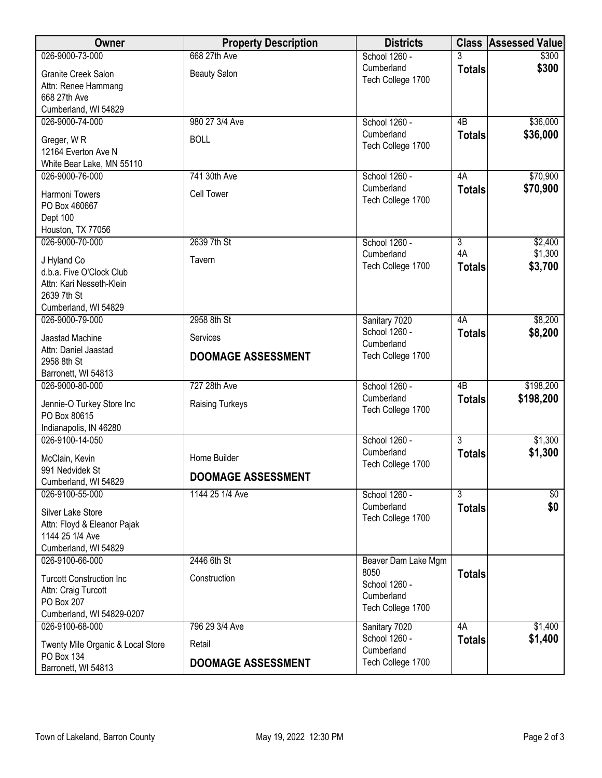| Owner                             | <b>Property Description</b> | <b>Districts</b>    |                | <b>Class Assessed Value</b> |
|-----------------------------------|-----------------------------|---------------------|----------------|-----------------------------|
| 026-9000-73-000                   | 668 27th Ave                | School 1260 -       |                | \$300                       |
| Granite Creek Salon               | <b>Beauty Salon</b>         | Cumberland          | <b>Totals</b>  | \$300                       |
| Attn: Renee Hammang               |                             | Tech College 1700   |                |                             |
| 668 27th Ave                      |                             |                     |                |                             |
| Cumberland, WI 54829              |                             |                     |                |                             |
| 026-9000-74-000                   | 980 27 3/4 Ave              | School 1260 -       | 4B             | \$36,000                    |
| Greger, WR                        | <b>BOLL</b>                 | Cumberland          | <b>Totals</b>  | \$36,000                    |
| 12164 Everton Ave N               |                             | Tech College 1700   |                |                             |
| White Bear Lake, MN 55110         |                             |                     |                |                             |
| 026-9000-76-000                   | 741 30th Ave                | School 1260 -       | 4A             | \$70,900                    |
| Harmoni Towers                    | <b>Cell Tower</b>           | Cumberland          | <b>Totals</b>  | \$70,900                    |
| PO Box 460667                     |                             | Tech College 1700   |                |                             |
| Dept 100                          |                             |                     |                |                             |
| Houston, TX 77056                 |                             |                     |                |                             |
| 026-9000-70-000                   | 2639 7th St                 | School 1260 -       | $\overline{3}$ | \$2,400                     |
| J Hyland Co                       | Tavern                      | Cumberland          | 4A             | \$1,300                     |
| d.b.a. Five O'Clock Club          |                             | Tech College 1700   | <b>Totals</b>  | \$3,700                     |
| Attn: Kari Nesseth-Klein          |                             |                     |                |                             |
| 2639 7th St                       |                             |                     |                |                             |
| Cumberland, WI 54829              |                             |                     |                |                             |
| 026-9000-79-000                   | 2958 8th St                 | Sanitary 7020       | 4A             | \$8,200                     |
| Jaastad Machine                   | Services                    | School 1260 -       | <b>Totals</b>  | \$8,200                     |
| Attn: Daniel Jaastad              |                             | Cumberland          |                |                             |
| 2958 8th St                       | <b>DOOMAGE ASSESSMENT</b>   | Tech College 1700   |                |                             |
| Barronett, WI 54813               |                             |                     |                |                             |
| 026-9000-80-000                   | 727 28th Ave                | School 1260 -       | 4B             | \$198,200                   |
| Jennie-O Turkey Store Inc         | <b>Raising Turkeys</b>      | Cumberland          | <b>Totals</b>  | \$198,200                   |
| PO Box 80615                      |                             | Tech College 1700   |                |                             |
| Indianapolis, IN 46280            |                             |                     |                |                             |
| 026-9100-14-050                   |                             | School 1260 -       | $\overline{3}$ | \$1,300                     |
| McClain, Kevin                    | Home Builder                | Cumberland          | <b>Totals</b>  | \$1,300                     |
| 991 Nedvidek St                   |                             | Tech College 1700   |                |                             |
| Cumberland, WI 54829              | <b>DOOMAGE ASSESSMENT</b>   |                     |                |                             |
| 026-9100-55-000                   | 1144 25 1/4 Ave             | School 1260 -       | $\overline{3}$ | $\sqrt[6]{}$                |
| Silver Lake Store                 |                             | Cumberland          | <b>Totals</b>  | \$0                         |
| Attn: Floyd & Eleanor Pajak       |                             | Tech College 1700   |                |                             |
| 1144 25 1/4 Ave                   |                             |                     |                |                             |
| Cumberland, WI 54829              |                             |                     |                |                             |
| 026-9100-66-000                   | 2446 6th St                 | Beaver Dam Lake Mgm |                |                             |
| <b>Turcott Construction Inc</b>   | Construction                | 8050                | <b>Totals</b>  |                             |
| Attn: Craig Turcott               |                             | School 1260 -       |                |                             |
| PO Box 207                        |                             | Cumberland          |                |                             |
| Cumberland, WI 54829-0207         |                             | Tech College 1700   |                |                             |
| 026-9100-68-000                   | 796 29 3/4 Ave              | Sanitary 7020       | 4A             | \$1,400                     |
| Twenty Mile Organic & Local Store | Retail                      | School 1260 -       | <b>Totals</b>  | \$1,400                     |
| PO Box 134                        |                             | Cumberland          |                |                             |
| Barronett, WI 54813               | <b>DOOMAGE ASSESSMENT</b>   | Tech College 1700   |                |                             |